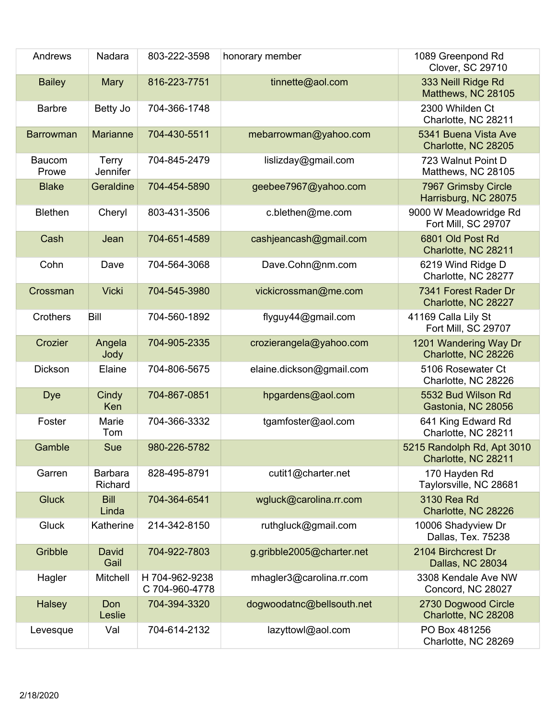| Andrews          | Nadara                    | 803-222-3598                     | honorary member           | 1089 Greenpond Rd<br>Clover, SC 29710             |
|------------------|---------------------------|----------------------------------|---------------------------|---------------------------------------------------|
| <b>Bailey</b>    | Mary                      | 816-223-7751                     | tinnette@aol.com          | 333 Neill Ridge Rd<br>Matthews, NC 28105          |
| <b>Barbre</b>    | Betty Jo                  | 704-366-1748                     |                           | 2300 Whilden Ct<br>Charlotte, NC 28211            |
| <b>Barrowman</b> | <b>Marianne</b>           | 704-430-5511                     | mebarrowman@yahoo.com     | 5341 Buena Vista Ave<br>Charlotte, NC 28205       |
| Baucom<br>Prowe  | <b>Terry</b><br>Jennifer  | 704-845-2479                     | lislizday@gmail.com       | 723 Walnut Point D<br>Matthews, NC 28105          |
| <b>Blake</b>     | Geraldine                 | 704-454-5890                     | geebee7967@yahoo.com      | 7967 Grimsby Circle<br>Harrisburg, NC 28075       |
| <b>Blethen</b>   | Cheryl                    | 803-431-3506                     | c.blethen@me.com          | 9000 W Meadowridge Rd<br>Fort Mill, SC 29707      |
| Cash             | Jean                      | 704-651-4589                     | cashjeancash@gmail.com    | 6801 Old Post Rd<br>Charlotte, NC 28211           |
| Cohn             | Dave                      | 704-564-3068                     | Dave.Cohn@nm.com          | 6219 Wind Ridge D<br>Charlotte, NC 28277          |
| Crossman         | <b>Vicki</b>              | 704-545-3980                     | vickicrossman@me.com      | 7341 Forest Rader Dr<br>Charlotte, NC 28227       |
| Crothers         | Bill                      | 704-560-1892                     | flyguy44@gmail.com        | 41169 Calla Lily St<br>Fort Mill, SC 29707        |
| Crozier          | Angela<br>Jody            | 704-905-2335                     | crozierangela@yahoo.com   | 1201 Wandering Way Dr<br>Charlotte, NC 28226      |
| <b>Dickson</b>   | Elaine                    | 704-806-5675                     | elaine.dickson@gmail.com  | 5106 Rosewater Ct<br>Charlotte, NC 28226          |
| <b>Dye</b>       | Cindy<br>Ken              | 704-867-0851                     | hpgardens@aol.com         | 5532 Bud Wilson Rd<br>Gastonia, NC 28056          |
| Foster           | Marie<br>Tom              | 704-366-3332                     | tgamfoster@aol.com        | 641 King Edward Rd<br>Charlotte, NC 28211         |
| Gamble           | Sue                       | 980-226-5782                     |                           | 5215 Randolph Rd, Apt 3010<br>Charlotte, NC 28211 |
| Garren           | <b>Barbara</b><br>Richard | 828-495-8791                     | cutit1@charter.net        | 170 Hayden Rd<br>Taylorsville, NC 28681           |
| <b>Gluck</b>     | <b>Bill</b><br>Linda      | 704-364-6541                     | wgluck@carolina.rr.com    | 3130 Rea Rd<br>Charlotte, NC 28226                |
| <b>Gluck</b>     | Katherine                 | 214-342-8150                     | ruthgluck@gmail.com       | 10006 Shadyview Dr<br>Dallas, Tex. 75238          |
| Gribble          | David<br>Gail             | 704-922-7803                     | g.gribble2005@charter.net | 2104 Birchcrest Dr<br>Dallas, NC 28034            |
| Hagler           | Mitchell                  | H 704-962-9238<br>C 704-960-4778 | mhagler3@carolina.rr.com  | 3308 Kendale Ave NW<br>Concord, NC 28027          |
| <b>Halsey</b>    | Don<br>Leslie             | 704-394-3320                     | dogwoodatnc@bellsouth.net | 2730 Dogwood Circle<br>Charlotte, NC 28208        |
| Levesque         | Val                       | 704-614-2132                     | lazyttowl@aol.com         | PO Box 481256<br>Charlotte, NC 28269              |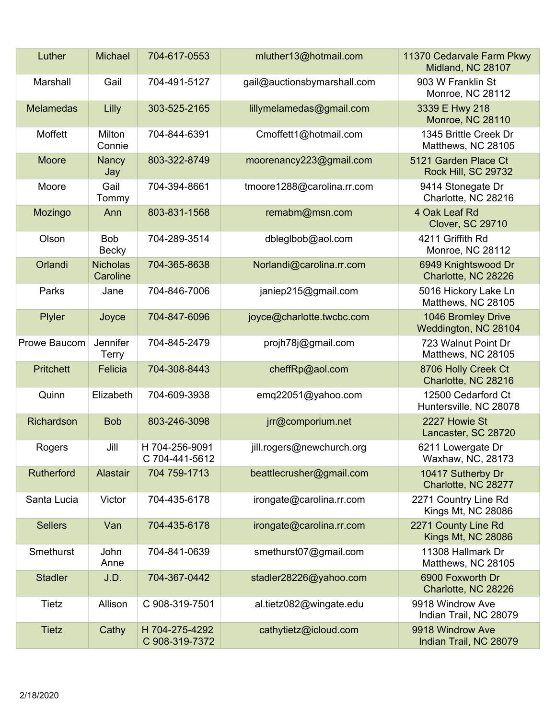| Luther           | <b>Michael</b>              | 704-617-0553                     | mluther13@hotmail.com       | 11370 Cedarvale Farm Pkwy<br>Midland, NC 28107   |
|------------------|-----------------------------|----------------------------------|-----------------------------|--------------------------------------------------|
| Marshall         | Gail                        | 704-491-5127                     | gail@auctionsbymarshall.com | 903 W Franklin St<br>Monroe, NC 28112            |
| <b>Melamedas</b> | Lilly                       | 303-525-2165                     | lillymelamedas@gmail.com    | 3339 E Hwy 218<br>Monroe, NC 28110               |
| Moffett          | Milton<br>Connie            | 704-844-6391                     | Cmoffett1@hotmail.com       | 1345 Brittle Creek Dr<br>Matthews, NC 28105      |
| Moore            | Nancy<br>Jay                | 803-322-8749                     | moorenancy223@gmail.com     | 5121 Garden Place Ct<br>Rock Hill, SC 29732      |
| Moore            | Gail<br>Tommy               | 704-394-8661                     | tmoore1288@carolina.rr.com  | 9414 Stonegate Dr<br>Charlotte, NC 28216         |
| Mozingo          | Ann                         | 803-831-1568                     | remabm@msn.com              | 4 Oak Leaf Rd<br><b>Clover, SC 29710</b>         |
| Olson            | <b>Bob</b><br><b>Becky</b>  | 704-289-3514                     | dbleglbob@aol.com           | 4211 Griffith Rd<br>Monroe, NC 28112             |
| Orlandi          | <b>Nicholas</b><br>Caroline | 704-365-8638                     | Norlandi@carolina.rr.com    | 6949 Knightswood Dr<br>Charlotte, NC 28226       |
| Parks            | Jane                        | 704-846-7006                     | janiep215@gmail.com         | 5016 Hickory Lake Ln<br>Matthews, NC 28105       |
| Plyler           | Joyce                       | 704-847-6096                     | joyce@charlotte.twcbc.com   | 1046 Bromley Drive<br>Weddington, NC 28104       |
| Prowe Baucom     | Jennifer<br><b>Terry</b>    | 704-845-2479                     | projh78j@gmail.com          | 723 Walnut Point Dr<br>Matthews, NC 28105        |
| <b>Pritchett</b> | Felicia                     | 704-308-8443                     | cheffRp@aol.com             | 8706 Holly Creek Ct<br>Charlotte, NC 28216       |
| Quinn            | Elizabeth                   | 704-609-3938                     | emq22051@yahoo.com          | 12500 Cedarford Ct<br>Huntersville, NC 28078     |
| Richardson       | <b>Bob</b>                  | 803-246-3098                     | jrr@comporium.net           | 2227 Howie St<br>Lancaster, SC 28720             |
| Rogers           | Jill                        | H 704-256-9091<br>C 704-441-5612 | jill.rogers@newchurch.org   | 6211 Lowergate Dr<br>Waxhaw, NC, 28173           |
| Rutherford       | Alastair                    | 704 759-1713                     | beattlecrusher@gmail.com    | 10417 Sutherby Dr<br>Charlotte, NC 28277         |
| Santa Lucia      | Victor                      | 704-435-6178                     | irongate@carolina.rr.com    | 2271 Country Line Rd<br>Kings Mt, NC 28086       |
| <b>Sellers</b>   | Van                         | 704-435-6178                     | irongate@carolina.rr.com    | 2271 County Line Rd<br><b>Kings Mt, NC 28086</b> |
| Smethurst        | John<br>Anne                | 704-841-0639                     | smethurst07@gmail.com       | 11308 Hallmark Dr<br>Matthews, NC 28105          |
| <b>Stadler</b>   | J.D.                        | 704-367-0442                     | stadler28226@yahoo.com      | 6900 Foxworth Dr<br>Charlotte, NC 28226          |
| Tietz            | Allison                     | C 908-319-7501                   | al.tietz082@wingate.edu     | 9918 Windrow Ave<br>Indian Trail, NC 28079       |
| <b>Tietz</b>     | Cathy                       | H 704-275-4292<br>C 908-319-7372 | cathytietz@icloud.com       | 9918 Windrow Ave<br>Indian Trail, NC 28079       |